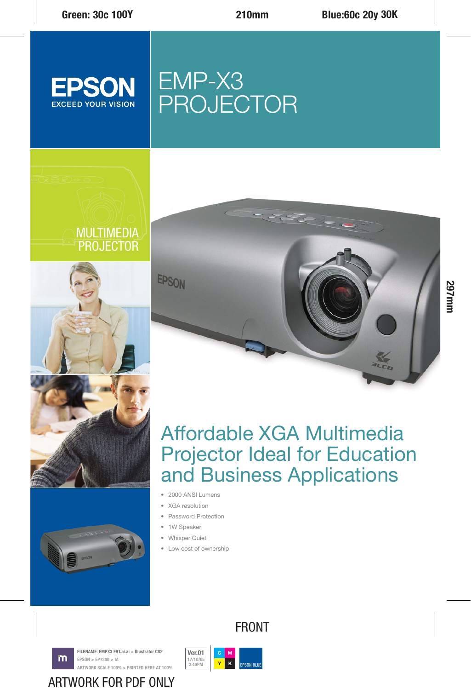

# EMP-X3 PROJECTOR







## Affordable XGA Multimedia Projector Ideal for Education and Business Applications

- 2000 ANSI Lumens
- XGA resolution
- Password Protection
- 1W Speaker
- Whisper Quiet
- Low cost of ownership